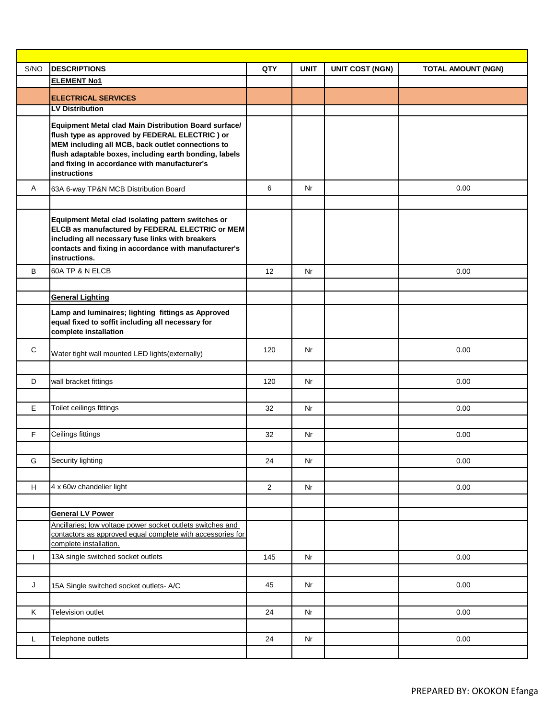| S/NO         | <b>DESCRIPTIONS</b>                                                                                                                                                                                                                                                                           | QTY            | <b>UNIT</b> | <b>UNIT COST (NGN)</b> | <b>TOTAL AMOUNT (NGN)</b> |
|--------------|-----------------------------------------------------------------------------------------------------------------------------------------------------------------------------------------------------------------------------------------------------------------------------------------------|----------------|-------------|------------------------|---------------------------|
|              | <b>ELEMENT No1</b>                                                                                                                                                                                                                                                                            |                |             |                        |                           |
|              | <b>ELECTRICAL SERVICES</b>                                                                                                                                                                                                                                                                    |                |             |                        |                           |
|              | <b>LV Distribution</b>                                                                                                                                                                                                                                                                        |                |             |                        |                           |
|              | Equipment Metal clad Main Distribution Board surface/<br>flush type as approved by FEDERAL ELECTRIC) or<br>MEM including all MCB, back outlet connections to<br>flush adaptable boxes, including earth bonding, labels<br>and fixing in accordance with manufacturer's<br><b>instructions</b> |                |             |                        |                           |
| A            | 63A 6-way TP&N MCB Distribution Board                                                                                                                                                                                                                                                         | 6              | Nr          |                        | 0.00                      |
|              |                                                                                                                                                                                                                                                                                               |                |             |                        |                           |
|              | Equipment Metal clad isolating pattern switches or<br>ELCB as manufactured by FEDERAL ELECTRIC or MEM<br>including all necessary fuse links with breakers<br>contacts and fixing in accordance with manufacturer's<br>instructions.                                                           |                |             |                        |                           |
| B            | 60A TP & N ELCB                                                                                                                                                                                                                                                                               | 12             | Nr          |                        | 0.00                      |
|              |                                                                                                                                                                                                                                                                                               |                |             |                        |                           |
|              | <b>General Lighting</b>                                                                                                                                                                                                                                                                       |                |             |                        |                           |
|              | Lamp and luminaires; lighting fittings as Approved<br>equal fixed to soffit including all necessary for<br>complete installation                                                                                                                                                              |                |             |                        |                           |
| $\mathbf C$  | Water tight wall mounted LED lights(externally)                                                                                                                                                                                                                                               | 120            | Nr          |                        | 0.00                      |
|              |                                                                                                                                                                                                                                                                                               |                |             |                        |                           |
| D            | wall bracket fittings                                                                                                                                                                                                                                                                         | 120            | Nr          |                        | 0.00                      |
|              |                                                                                                                                                                                                                                                                                               |                |             |                        |                           |
| E            | Toilet ceilings fittings                                                                                                                                                                                                                                                                      | 32             | Nr          |                        | 0.00                      |
|              |                                                                                                                                                                                                                                                                                               |                |             |                        |                           |
| F            | Ceilings fittings                                                                                                                                                                                                                                                                             | 32             | Nr          |                        | 0.00                      |
|              |                                                                                                                                                                                                                                                                                               |                |             |                        |                           |
| G            | Security lighting                                                                                                                                                                                                                                                                             | 24             | Nr          |                        | 0.00                      |
|              |                                                                                                                                                                                                                                                                                               |                |             |                        |                           |
| H            | 4 x 60w chandelier light                                                                                                                                                                                                                                                                      | $\overline{2}$ | Nr          |                        | 0.00                      |
|              |                                                                                                                                                                                                                                                                                               |                |             |                        |                           |
|              | <b>General LV Power</b>                                                                                                                                                                                                                                                                       |                |             |                        |                           |
|              | Ancillaries; low voltage power socket outlets switches and<br>contactors as approved equal complete with accessories for<br>complete installation.                                                                                                                                            |                |             |                        |                           |
| $\mathbf{I}$ | 13A single switched socket outlets                                                                                                                                                                                                                                                            | 145            | Nr          |                        | 0.00                      |
|              |                                                                                                                                                                                                                                                                                               |                |             |                        |                           |
| J            | 15A Single switched socket outlets- A/C                                                                                                                                                                                                                                                       | 45             | Nr          |                        | 0.00                      |
|              |                                                                                                                                                                                                                                                                                               |                |             |                        |                           |
| Κ            | Television outlet                                                                                                                                                                                                                                                                             | 24             | Nr          |                        | 0.00                      |
|              |                                                                                                                                                                                                                                                                                               |                |             |                        |                           |
| L            | Telephone outlets                                                                                                                                                                                                                                                                             |                |             |                        | 0.00                      |
|              |                                                                                                                                                                                                                                                                                               | 24             | Nr          |                        |                           |
|              |                                                                                                                                                                                                                                                                                               |                |             |                        |                           |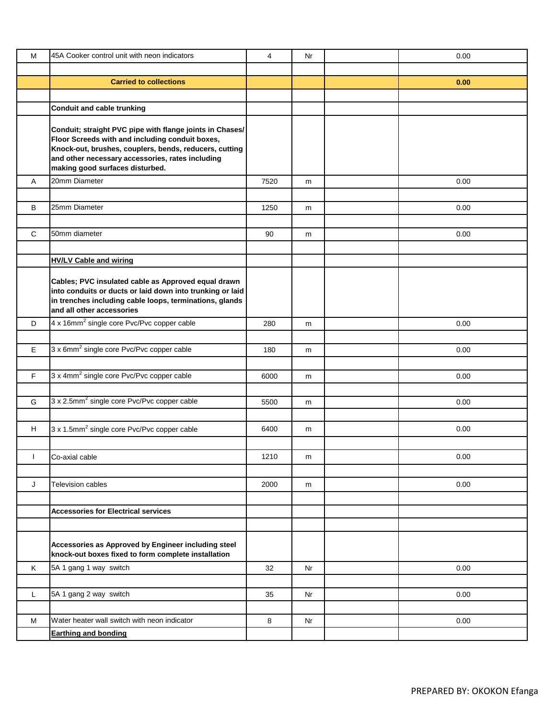| M  | 45A Cooker control unit with neon indicators                                                                                                                                                                                                                 | $\overline{4}$ | Nr | 0.00 |
|----|--------------------------------------------------------------------------------------------------------------------------------------------------------------------------------------------------------------------------------------------------------------|----------------|----|------|
|    |                                                                                                                                                                                                                                                              |                |    |      |
|    | <b>Carried to collections</b>                                                                                                                                                                                                                                |                |    | 0.00 |
|    |                                                                                                                                                                                                                                                              |                |    |      |
|    | <b>Conduit and cable trunking</b>                                                                                                                                                                                                                            |                |    |      |
|    | Conduit; straight PVC pipe with flange joints in Chases/<br>Floor Screeds with and including conduit boxes,<br>Knock-out, brushes, couplers, bends, reducers, cutting<br>and other necessary accessories, rates including<br>making good surfaces disturbed. |                |    |      |
| Α  | 20mm Diameter                                                                                                                                                                                                                                                | 7520           | m  | 0.00 |
|    |                                                                                                                                                                                                                                                              |                |    |      |
| B  | 25mm Diameter                                                                                                                                                                                                                                                | 1250           | m  | 0.00 |
|    |                                                                                                                                                                                                                                                              |                |    |      |
| C  | 50mm diameter                                                                                                                                                                                                                                                | 90             | m  | 0.00 |
|    |                                                                                                                                                                                                                                                              |                |    |      |
|    | <b>HV/LV Cable and wiring</b>                                                                                                                                                                                                                                |                |    |      |
|    | Cables; PVC insulated cable as Approved equal drawn<br>into conduits or ducts or laid down into trunking or laid<br>in trenches including cable loops, terminations, glands<br>and all other accessories                                                     |                |    |      |
| D  | 4 x 16mm <sup>2</sup> single core Pvc/Pvc copper cable                                                                                                                                                                                                       | 280            | m  | 0.00 |
|    |                                                                                                                                                                                                                                                              |                |    |      |
| E  | 3 x 6mm <sup>2</sup> single core Pvc/Pvc copper cable                                                                                                                                                                                                        | 180            | m  | 0.00 |
|    |                                                                                                                                                                                                                                                              |                |    |      |
| F. | 3 x 4mm <sup>2</sup> single core Pvc/Pvc copper cable                                                                                                                                                                                                        | 6000           | m  | 0.00 |
|    |                                                                                                                                                                                                                                                              |                |    |      |
| G  | 3 x 2.5mm <sup>2</sup> single core Pvc/Pvc copper cable                                                                                                                                                                                                      | 5500           | m  | 0.00 |
|    |                                                                                                                                                                                                                                                              |                |    |      |
| H  | 3 x 1.5mm <sup>2</sup> single core Pvc/Pvc copper cable                                                                                                                                                                                                      | 6400           | m  | 0.00 |
|    |                                                                                                                                                                                                                                                              |                |    |      |
| ı  | Co-axial cable                                                                                                                                                                                                                                               | 1210           | m  | 0.00 |
|    |                                                                                                                                                                                                                                                              |                |    |      |
| J  | <b>Television cables</b>                                                                                                                                                                                                                                     | 2000           | m  | 0.00 |
|    |                                                                                                                                                                                                                                                              |                |    |      |
|    | <b>Accessories for Electrical services</b>                                                                                                                                                                                                                   |                |    |      |
|    |                                                                                                                                                                                                                                                              |                |    |      |
|    | Accessories as Approved by Engineer including steel<br>knock-out boxes fixed to form complete installation                                                                                                                                                   |                |    |      |
| Κ  | 5A 1 gang 1 way switch                                                                                                                                                                                                                                       | 32             | Nr | 0.00 |
|    |                                                                                                                                                                                                                                                              |                |    |      |
| L  | 5A 1 gang 2 way switch                                                                                                                                                                                                                                       | 35             | Nr | 0.00 |
|    |                                                                                                                                                                                                                                                              |                |    |      |
| M  | Water heater wall switch with neon indicator                                                                                                                                                                                                                 | 8              | Nr | 0.00 |
|    | <b>Earthing and bonding</b>                                                                                                                                                                                                                                  |                |    |      |